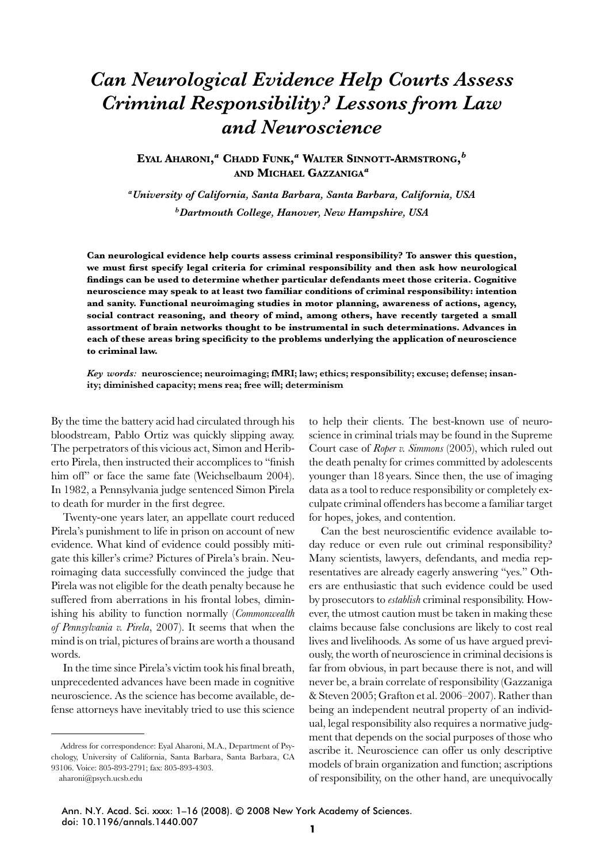# *Can Neurological Evidence Help Courts Assess Criminal Responsibility? Lessons from Law and Neuroscience*

**EYAL AHARONI,** *<sup>a</sup>* **CHADD FUNK,** *<sup>a</sup>* **WALTER SINNOTT-ARMSTRONG,** *b* **AND MICHAEL GAZZANIGA***<sup>a</sup>*

*aUniversity of California, Santa Barbara, Santa Barbara, California, USA bDartmouth College, Hanover, New Hampshire, USA*

**Can neurological evidence help courts assess criminal responsibility? To answer this question, we must first specify legal criteria for criminal responsibility and then ask how neurological findings can be used to determine whether particular defendants meet those criteria. Cognitive neuroscience may speak to at least two familiar conditions of criminal responsibility: intention and sanity. Functional neuroimaging studies in motor planning, awareness of actions, agency, social contract reasoning, and theory of mind, among others, have recently targeted a small assortment of brain networks thought to be instrumental in such determinations. Advances in each of these areas bring specificity to the problems underlying the application of neuroscience to criminal law.**

*Key words:* **neuroscience; neuroimaging; fMRI; law; ethics; responsibility; excuse; defense; insanity; diminished capacity; mens rea; free will; determinism**

By the time the battery acid had circulated through his bloodstream, Pablo Ortiz was quickly slipping away. The perpetrators of this vicious act, Simon and Heriberto Pirela, then instructed their accomplices to "finish him off" or face the same fate (Weichselbaum 2004). In 1982, a Pennsylvania judge sentenced Simon Pirela to death for murder in the first degree.

Twenty-one years later, an appellate court reduced Pirela's punishment to life in prison on account of new evidence. What kind of evidence could possibly mitigate this killer's crime? Pictures of Pirela's brain. Neuroimaging data successfully convinced the judge that Pirela was not eligible for the death penalty because he suffered from aberrations in his frontal lobes, diminishing his ability to function normally (*Commonwealth of Pennsylvania v. Pirela*, 2007). It seems that when the mind is on trial, pictures of brains are worth a thousand words.

In the time since Pirela's victim took his final breath, unprecedented advances have been made in cognitive neuroscience. As the science has become available, defense attorneys have inevitably tried to use this science to help their clients. The best-known use of neuroscience in criminal trials may be found in the Supreme Court case of *Roper v. Simmons* (2005), which ruled out the death penalty for crimes committed by adolescents younger than 18 years. Since then, the use of imaging data as a tool to reduce responsibility or completely exculpate criminal offenders has become a familiar target for hopes, jokes, and contention.

Can the best neuroscientific evidence available today reduce or even rule out criminal responsibility? Many scientists, lawyers, defendants, and media representatives are already eagerly answering "yes." Others are enthusiastic that such evidence could be used by prosecutors to *establish* criminal responsibility. However, the utmost caution must be taken in making these claims because false conclusions are likely to cost real lives and livelihoods. As some of us have argued previously, the worth of neuroscience in criminal decisions is far from obvious, in part because there is not, and will never be, a brain correlate of responsibility (Gazzaniga & Steven 2005; Grafton et al. 2006–2007). Rather than being an independent neutral property of an individual, legal responsibility also requires a normative judgment that depends on the social purposes of those who ascribe it. Neuroscience can offer us only descriptive models of brain organization and function; ascriptions of responsibility, on the other hand, are unequivocally

Address for correspondence: Eyal Aharoni, M.A., Department of Psychology, University of California, Santa Barbara, Santa Barbara, CA 93106. Voice: 805-893-2791; fax: 805-893-4303.

aharoni@psych.ucsb.edu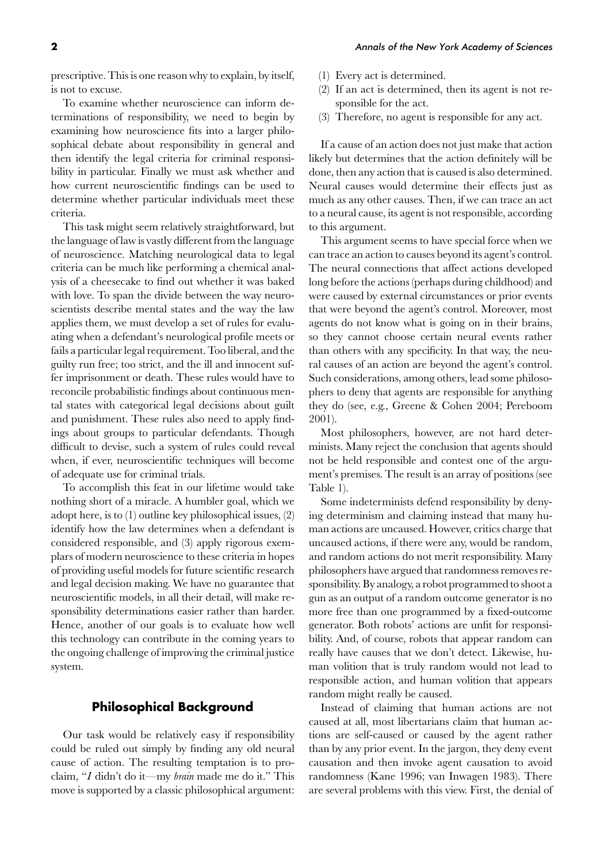prescriptive. This is one reason why to explain, by itself, is not to excuse.

To examine whether neuroscience can inform determinations of responsibility, we need to begin by examining how neuroscience fits into a larger philosophical debate about responsibility in general and then identify the legal criteria for criminal responsibility in particular. Finally we must ask whether and how current neuroscientific findings can be used to determine whether particular individuals meet these criteria.

This task might seem relatively straightforward, but the language of law is vastly different from the language of neuroscience. Matching neurological data to legal criteria can be much like performing a chemical analysis of a cheesecake to find out whether it was baked with love. To span the divide between the way neuroscientists describe mental states and the way the law applies them, we must develop a set of rules for evaluating when a defendant's neurological profile meets or fails a particular legal requirement. Too liberal, and the guilty run free; too strict, and the ill and innocent suffer imprisonment or death. These rules would have to reconcile probabilistic findings about continuous mental states with categorical legal decisions about guilt and punishment. These rules also need to apply findings about groups to particular defendants. Though difficult to devise, such a system of rules could reveal when, if ever, neuroscientific techniques will become of adequate use for criminal trials.

To accomplish this feat in our lifetime would take nothing short of a miracle. A humbler goal, which we adopt here, is to (1) outline key philosophical issues, (2) identify how the law determines when a defendant is considered responsible, and (3) apply rigorous exemplars of modern neuroscience to these criteria in hopes of providing useful models for future scientific research and legal decision making. We have no guarantee that neuroscientific models, in all their detail, will make responsibility determinations easier rather than harder. Hence, another of our goals is to evaluate how well this technology can contribute in the coming years to the ongoing challenge of improving the criminal justice system.

# **Philosophical Background**

Our task would be relatively easy if responsibility could be ruled out simply by finding any old neural cause of action. The resulting temptation is to proclaim, "*I* didn't do it—my *brain* made me do it." This move is supported by a classic philosophical argument:

- (1) Every act is determined.
- (2) If an act is determined, then its agent is not responsible for the act.
- (3) Therefore, no agent is responsible for any act.

If a cause of an action does not just make that action likely but determines that the action definitely will be done, then any action that is caused is also determined. Neural causes would determine their effects just as much as any other causes. Then, if we can trace an act to a neural cause, its agent is not responsible, according to this argument.

This argument seems to have special force when we can trace an action to causes beyond its agent's control. The neural connections that affect actions developed long before the actions (perhaps during childhood) and were caused by external circumstances or prior events that were beyond the agent's control. Moreover, most agents do not know what is going on in their brains, so they cannot choose certain neural events rather than others with any specificity. In that way, the neural causes of an action are beyond the agent's control. Such considerations, among others, lead some philosophers to deny that agents are responsible for anything they do (see, e.g., Greene & Cohen 2004; Pereboom 2001).

Most philosophers, however, are not hard determinists. Many reject the conclusion that agents should not be held responsible and contest one of the argument's premises. The result is an array of positions (see Table 1).

Some indeterminists defend responsibility by denying determinism and claiming instead that many human actions are uncaused. However, critics charge that uncaused actions, if there were any, would be random, and random actions do not merit responsibility. Many philosophers have argued that randomness removes responsibility. By analogy, a robot programmed to shoot a gun as an output of a random outcome generator is no more free than one programmed by a fixed-outcome generator. Both robots' actions are unfit for responsibility. And, of course, robots that appear random can really have causes that we don't detect. Likewise, human volition that is truly random would not lead to responsible action, and human volition that appears random might really be caused.

Instead of claiming that human actions are not caused at all, most libertarians claim that human actions are self-caused or caused by the agent rather than by any prior event. In the jargon, they deny event causation and then invoke agent causation to avoid randomness (Kane 1996; van Inwagen 1983). There are several problems with this view. First, the denial of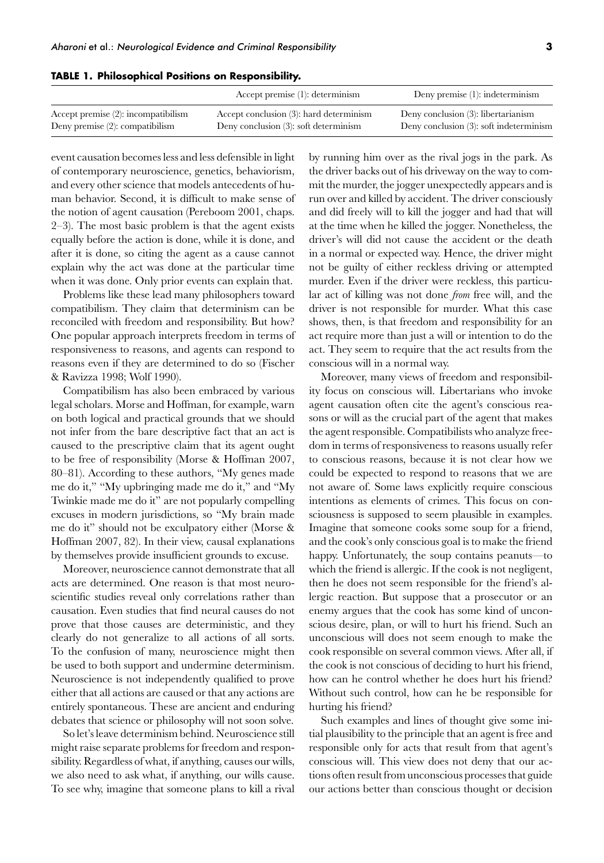|                                     | Accept premise (1): determinism         | Deny premise (1): indeterminism         |
|-------------------------------------|-----------------------------------------|-----------------------------------------|
| Accept premise (2): incompatibilism | Accept conclusion (3): hard determinism | Deny conclusion (3). libertarianism     |
| Deny premise $(2)$ : compatibilism  | Deny conclusion (3): soft determinism   | Deny conclusion (3): soft indeterminism |

**TABLE 1. Philosophical Positions on Responsibility.**

event causation becomes less and less defensible in light of contemporary neuroscience, genetics, behaviorism, and every other science that models antecedents of human behavior. Second, it is difficult to make sense of the notion of agent causation (Pereboom 2001, chaps. 2–3). The most basic problem is that the agent exists equally before the action is done, while it is done, and after it is done, so citing the agent as a cause cannot explain why the act was done at the particular time when it was done. Only prior events can explain that.

Problems like these lead many philosophers toward compatibilism. They claim that determinism can be reconciled with freedom and responsibility. But how? One popular approach interprets freedom in terms of responsiveness to reasons, and agents can respond to reasons even if they are determined to do so (Fischer & Ravizza 1998; Wolf 1990).

Compatibilism has also been embraced by various legal scholars. Morse and Hoffman, for example, warn on both logical and practical grounds that we should not infer from the bare descriptive fact that an act is caused to the prescriptive claim that its agent ought to be free of responsibility (Morse & Hoffman 2007, 80–81). According to these authors, "My genes made me do it," "My upbringing made me do it," and "My Twinkie made me do it" are not popularly compelling excuses in modern jurisdictions, so "My brain made me do it" should not be exculpatory either (Morse & Hoffman 2007, 82). In their view, causal explanations by themselves provide insufficient grounds to excuse.

Moreover, neuroscience cannot demonstrate that all acts are determined. One reason is that most neuroscientific studies reveal only correlations rather than causation. Even studies that find neural causes do not prove that those causes are deterministic, and they clearly do not generalize to all actions of all sorts. To the confusion of many, neuroscience might then be used to both support and undermine determinism. Neuroscience is not independently qualified to prove either that all actions are caused or that any actions are entirely spontaneous. These are ancient and enduring debates that science or philosophy will not soon solve.

So let's leave determinism behind. Neuroscience still might raise separate problems for freedom and responsibility. Regardless of what, if anything, causes our wills, we also need to ask what, if anything, our wills cause. To see why, imagine that someone plans to kill a rival by running him over as the rival jogs in the park. As the driver backs out of his driveway on the way to commit the murder, the jogger unexpectedly appears and is run over and killed by accident. The driver consciously and did freely will to kill the jogger and had that will at the time when he killed the jogger. Nonetheless, the driver's will did not cause the accident or the death in a normal or expected way. Hence, the driver might not be guilty of either reckless driving or attempted murder. Even if the driver were reckless, this particular act of killing was not done *from* free will, and the driver is not responsible for murder. What this case shows, then, is that freedom and responsibility for an act require more than just a will or intention to do the act. They seem to require that the act results from the conscious will in a normal way.

Moreover, many views of freedom and responsibility focus on conscious will. Libertarians who invoke agent causation often cite the agent's conscious reasons or will as the crucial part of the agent that makes the agent responsible. Compatibilists who analyze freedom in terms of responsiveness to reasons usually refer to conscious reasons, because it is not clear how we could be expected to respond to reasons that we are not aware of. Some laws explicitly require conscious intentions as elements of crimes. This focus on consciousness is supposed to seem plausible in examples. Imagine that someone cooks some soup for a friend, and the cook's only conscious goal is to make the friend happy. Unfortunately, the soup contains peanuts—to which the friend is allergic. If the cook is not negligent, then he does not seem responsible for the friend's allergic reaction. But suppose that a prosecutor or an enemy argues that the cook has some kind of unconscious desire, plan, or will to hurt his friend. Such an unconscious will does not seem enough to make the cook responsible on several common views. After all, if the cook is not conscious of deciding to hurt his friend, how can he control whether he does hurt his friend? Without such control, how can he be responsible for hurting his friend?

Such examples and lines of thought give some initial plausibility to the principle that an agent is free and responsible only for acts that result from that agent's conscious will. This view does not deny that our actions often result from unconscious processes that guide our actions better than conscious thought or decision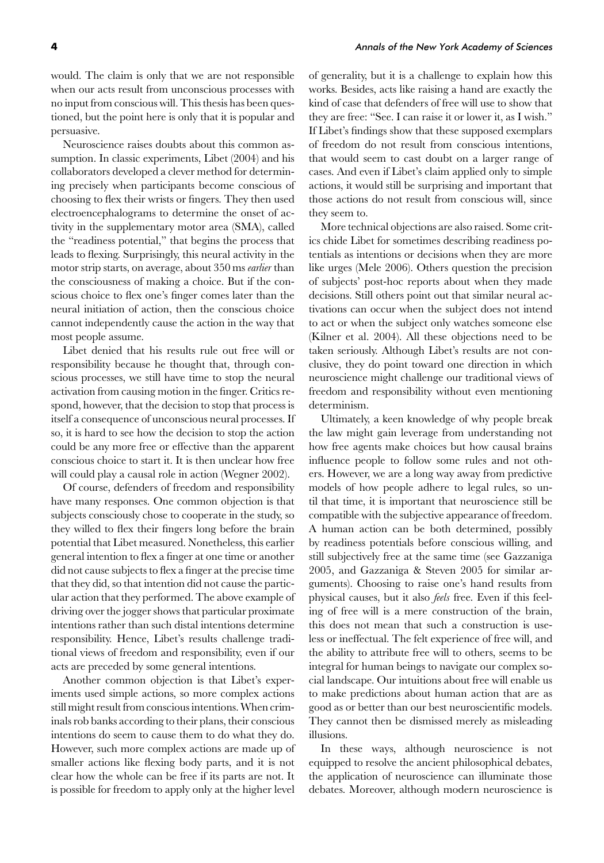would. The claim is only that we are not responsible when our acts result from unconscious processes with no input from conscious will. This thesis has been questioned, but the point here is only that it is popular and persuasive.

Neuroscience raises doubts about this common assumption. In classic experiments, Libet (2004) and his collaborators developed a clever method for determining precisely when participants become conscious of choosing to flex their wrists or fingers. They then used electroencephalograms to determine the onset of activity in the supplementary motor area (SMA), called the "readiness potential," that begins the process that leads to flexing. Surprisingly, this neural activity in the motor strip starts, on average, about 350 ms *earlier* than the consciousness of making a choice. But if the conscious choice to flex one's finger comes later than the neural initiation of action, then the conscious choice cannot independently cause the action in the way that most people assume.

Libet denied that his results rule out free will or responsibility because he thought that, through conscious processes, we still have time to stop the neural activation from causing motion in the finger. Critics respond, however, that the decision to stop that process is itself a consequence of unconscious neural processes. If so, it is hard to see how the decision to stop the action could be any more free or effective than the apparent conscious choice to start it. It is then unclear how free will could play a causal role in action (Wegner 2002).

Of course, defenders of freedom and responsibility have many responses. One common objection is that subjects consciously chose to cooperate in the study, so they willed to flex their fingers long before the brain potential that Libet measured. Nonetheless, this earlier general intention to flex a finger at one time or another did not cause subjects to flex a finger at the precise time that they did, so that intention did not cause the particular action that they performed. The above example of driving over the jogger shows that particular proximate intentions rather than such distal intentions determine responsibility. Hence, Libet's results challenge traditional views of freedom and responsibility, even if our acts are preceded by some general intentions.

Another common objection is that Libet's experiments used simple actions, so more complex actions still might result from conscious intentions. When criminals rob banks according to their plans, their conscious intentions do seem to cause them to do what they do. However, such more complex actions are made up of smaller actions like flexing body parts, and it is not clear how the whole can be free if its parts are not. It is possible for freedom to apply only at the higher level of generality, but it is a challenge to explain how this works. Besides, acts like raising a hand are exactly the kind of case that defenders of free will use to show that they are free: "See. I can raise it or lower it, as I wish." If Libet's findings show that these supposed exemplars of freedom do not result from conscious intentions, that would seem to cast doubt on a larger range of cases. And even if Libet's claim applied only to simple actions, it would still be surprising and important that those actions do not result from conscious will, since they seem to.

More technical objections are also raised. Some critics chide Libet for sometimes describing readiness potentials as intentions or decisions when they are more like urges (Mele 2006). Others question the precision of subjects' post-hoc reports about when they made decisions. Still others point out that similar neural activations can occur when the subject does not intend to act or when the subject only watches someone else (Kilner et al. 2004). All these objections need to be taken seriously. Although Libet's results are not conclusive, they do point toward one direction in which neuroscience might challenge our traditional views of freedom and responsibility without even mentioning determinism.

Ultimately, a keen knowledge of why people break the law might gain leverage from understanding not how free agents make choices but how causal brains influence people to follow some rules and not others. However, we are a long way away from predictive models of how people adhere to legal rules, so until that time, it is important that neuroscience still be compatible with the subjective appearance of freedom. A human action can be both determined, possibly by readiness potentials before conscious willing, and still subjectively free at the same time (see Gazzaniga 2005, and Gazzaniga & Steven 2005 for similar arguments). Choosing to raise one's hand results from physical causes, but it also *feels* free. Even if this feeling of free will is a mere construction of the brain, this does not mean that such a construction is useless or ineffectual. The felt experience of free will, and the ability to attribute free will to others, seems to be integral for human beings to navigate our complex social landscape. Our intuitions about free will enable us to make predictions about human action that are as good as or better than our best neuroscientific models. They cannot then be dismissed merely as misleading illusions.

In these ways, although neuroscience is not equipped to resolve the ancient philosophical debates, the application of neuroscience can illuminate those debates. Moreover, although modern neuroscience is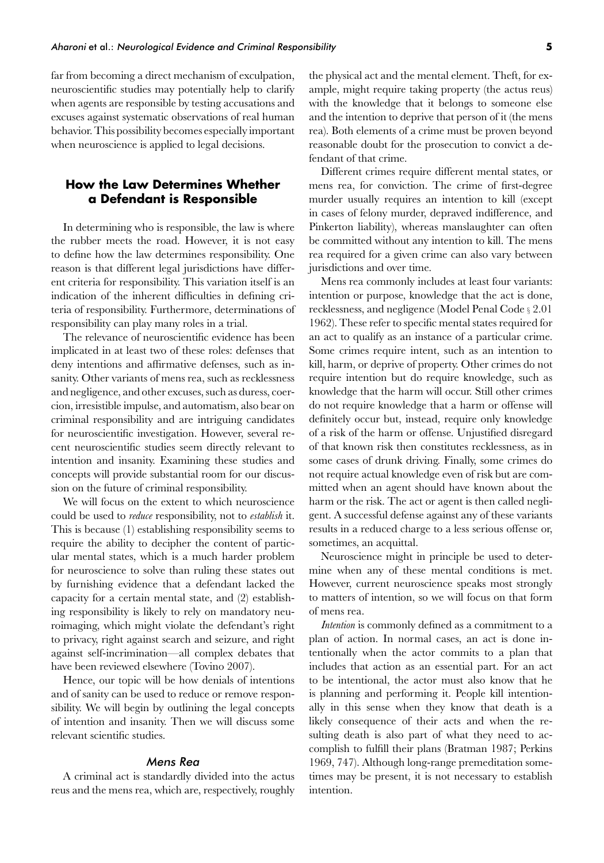far from becoming a direct mechanism of exculpation, neuroscientific studies may potentially help to clarify when agents are responsible by testing accusations and excuses against systematic observations of real human behavior. This possibility becomes especially important when neuroscience is applied to legal decisions.

# **How the Law Determines Whether a Defendant is Responsible**

In determining who is responsible, the law is where the rubber meets the road. However, it is not easy to define how the law determines responsibility. One reason is that different legal jurisdictions have different criteria for responsibility. This variation itself is an indication of the inherent difficulties in defining criteria of responsibility. Furthermore, determinations of responsibility can play many roles in a trial.

The relevance of neuroscientific evidence has been implicated in at least two of these roles: defenses that deny intentions and affirmative defenses, such as insanity. Other variants of mens rea, such as recklessness and negligence, and other excuses, such as duress, coercion, irresistible impulse, and automatism, also bear on criminal responsibility and are intriguing candidates for neuroscientific investigation. However, several recent neuroscientific studies seem directly relevant to intention and insanity. Examining these studies and concepts will provide substantial room for our discussion on the future of criminal responsibility.

We will focus on the extent to which neuroscience could be used to *reduce* responsibility, not to *establish* it. This is because (1) establishing responsibility seems to require the ability to decipher the content of particular mental states, which is a much harder problem for neuroscience to solve than ruling these states out by furnishing evidence that a defendant lacked the capacity for a certain mental state, and (2) establishing responsibility is likely to rely on mandatory neuroimaging, which might violate the defendant's right to privacy, right against search and seizure, and right against self-incrimination—all complex debates that have been reviewed elsewhere (Tovino 2007).

Hence, our topic will be how denials of intentions and of sanity can be used to reduce or remove responsibility. We will begin by outlining the legal concepts of intention and insanity. Then we will discuss some relevant scientific studies.

### Mens Rea

A criminal act is standardly divided into the actus reus and the mens rea, which are, respectively, roughly the physical act and the mental element. Theft, for example, might require taking property (the actus reus) with the knowledge that it belongs to someone else and the intention to deprive that person of it (the mens rea). Both elements of a crime must be proven beyond reasonable doubt for the prosecution to convict a defendant of that crime.

Different crimes require different mental states, or mens rea, for conviction. The crime of first-degree murder usually requires an intention to kill (except in cases of felony murder, depraved indifference, and Pinkerton liability), whereas manslaughter can often be committed without any intention to kill. The mens rea required for a given crime can also vary between jurisdictions and over time.

Mens rea commonly includes at least four variants: intention or purpose, knowledge that the act is done, recklessness, and negligence (Model Penal Code § 2.01 1962). These refer to specific mental states required for an act to qualify as an instance of a particular crime. Some crimes require intent, such as an intention to kill, harm, or deprive of property. Other crimes do not require intention but do require knowledge, such as knowledge that the harm will occur. Still other crimes do not require knowledge that a harm or offense will definitely occur but, instead, require only knowledge of a risk of the harm or offense. Unjustified disregard of that known risk then constitutes recklessness, as in some cases of drunk driving. Finally, some crimes do not require actual knowledge even of risk but are committed when an agent should have known about the harm or the risk. The act or agent is then called negligent. A successful defense against any of these variants results in a reduced charge to a less serious offense or, sometimes, an acquittal.

Neuroscience might in principle be used to determine when any of these mental conditions is met. However, current neuroscience speaks most strongly to matters of intention, so we will focus on that form of mens rea.

*Intention* is commonly defined as a commitment to a plan of action. In normal cases, an act is done intentionally when the actor commits to a plan that includes that action as an essential part. For an act to be intentional, the actor must also know that he is planning and performing it. People kill intentionally in this sense when they know that death is a likely consequence of their acts and when the resulting death is also part of what they need to accomplish to fulfill their plans (Bratman 1987; Perkins 1969, 747). Although long-range premeditation sometimes may be present, it is not necessary to establish intention.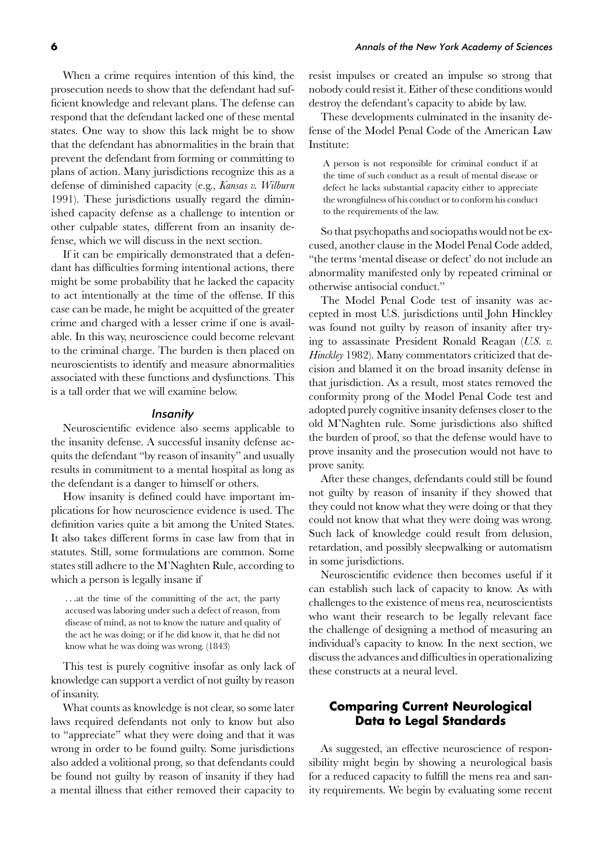When a crime requires intention of this kind, the prosecution needs to show that the defendant had sufficient knowledge and relevant plans. The defense can respond that the defendant lacked one of these mental states. One way to show this lack might be to show that the defendant has abnormalities in the brain that prevent the defendant from forming or committing to plans of action. Many jurisdictions recognize this as a defense of diminished capacity (e.g., *Kansas v. Wilburn* 1991). These jurisdictions usually regard the diminished capacity defense as a challenge to intention or other culpable states, different from an insanity defense, which we will discuss in the next section.

If it can be empirically demonstrated that a defendant has difficulties forming intentional actions, there might be some probability that he lacked the capacity to act intentionally at the time of the offense. If this case can be made, he might be acquitted of the greater crime and charged with a lesser crime if one is available. In this way, neuroscience could become relevant to the criminal charge. The burden is then placed on neuroscientists to identify and measure abnormalities associated with these functions and dysfunctions. This is a tall order that we will examine below.

#### Insanity

Neuroscientific evidence also seems applicable to the insanity defense. A successful insanity defense acquits the defendant "by reason of insanity" and usually results in commitment to a mental hospital as long as the defendant is a danger to himself or others.

How insanity is defined could have important implications for how neuroscience evidence is used. The definition varies quite a bit among the United States. It also takes different forms in case law from that in statutes. Still, some formulations are common. Some states still adhere to the M'Naghten Rule, according to which a person is legally insane if

*...*at the time of the committing of the act, the party accused was laboring under such a defect of reason, from disease of mind, as not to know the nature and quality of the act he was doing; or if he did know it, that he did not know what he was doing was wrong. (1843)

This test is purely cognitive insofar as only lack of knowledge can support a verdict of not guilty by reason of insanity.

What counts as knowledge is not clear, so some later laws required defendants not only to know but also to "appreciate" what they were doing and that it was wrong in order to be found guilty. Some jurisdictions also added a volitional prong, so that defendants could be found not guilty by reason of insanity if they had a mental illness that either removed their capacity to resist impulses or created an impulse so strong that nobody could resist it. Either of these conditions would destroy the defendant's capacity to abide by law.

These developments culminated in the insanity defense of the Model Penal Code of the American Law Institute:

A person is not responsible for criminal conduct if at the time of such conduct as a result of mental disease or defect he lacks substantial capacity either to appreciate the wrongfulness of his conduct or to conform his conduct to the requirements of the law.

So that psychopaths and sociopaths would not be excused, another clause in the Model Penal Code added, "the terms 'mental disease or defect' do not include an abnormality manifested only by repeated criminal or otherwise antisocial conduct."

The Model Penal Code test of insanity was accepted in most U.S. jurisdictions until John Hinckley was found not guilty by reason of insanity after trying to assassinate President Ronald Reagan (*U.S. v. Hinckley* 1982). Many commentators criticized that decision and blamed it on the broad insanity defense in that jurisdiction. As a result, most states removed the conformity prong of the Model Penal Code test and adopted purely cognitive insanity defenses closer to the old M'Naghten rule. Some jurisdictions also shifted the burden of proof, so that the defense would have to prove insanity and the prosecution would not have to prove sanity.

After these changes, defendants could still be found not guilty by reason of insanity if they showed that they could not know what they were doing or that they could not know that what they were doing was wrong. Such lack of knowledge could result from delusion, retardation, and possibly sleepwalking or automatism in some jurisdictions.

Neuroscientific evidence then becomes useful if it can establish such lack of capacity to know. As with challenges to the existence of mens rea, neuroscientists who want their research to be legally relevant face the challenge of designing a method of measuring an individual's capacity to know. In the next section, we discuss the advances and difficulties in operationalizing these constructs at a neural level.

# **Comparing Current Neurological Data to Legal Standards**

As suggested, an effective neuroscience of responsibility might begin by showing a neurological basis for a reduced capacity to fulfill the mens rea and sanity requirements. We begin by evaluating some recent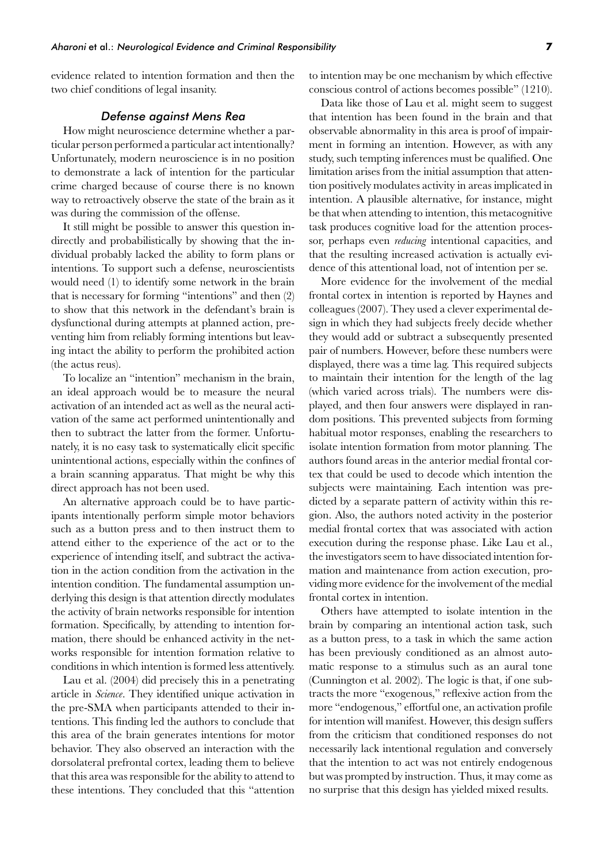evidence related to intention formation and then the two chief conditions of legal insanity.

### Defense against Mens Rea

How might neuroscience determine whether a particular person performed a particular act intentionally? Unfortunately, modern neuroscience is in no position to demonstrate a lack of intention for the particular crime charged because of course there is no known way to retroactively observe the state of the brain as it was during the commission of the offense.

It still might be possible to answer this question indirectly and probabilistically by showing that the individual probably lacked the ability to form plans or intentions. To support such a defense, neuroscientists would need (1) to identify some network in the brain that is necessary for forming "intentions" and then (2) to show that this network in the defendant's brain is dysfunctional during attempts at planned action, preventing him from reliably forming intentions but leaving intact the ability to perform the prohibited action (the actus reus).

To localize an "intention" mechanism in the brain, an ideal approach would be to measure the neural activation of an intended act as well as the neural activation of the same act performed unintentionally and then to subtract the latter from the former. Unfortunately, it is no easy task to systematically elicit specific unintentional actions, especially within the confines of a brain scanning apparatus. That might be why this direct approach has not been used.

An alternative approach could be to have participants intentionally perform simple motor behaviors such as a button press and to then instruct them to attend either to the experience of the act or to the experience of intending itself, and subtract the activation in the action condition from the activation in the intention condition. The fundamental assumption underlying this design is that attention directly modulates the activity of brain networks responsible for intention formation. Specifically, by attending to intention formation, there should be enhanced activity in the networks responsible for intention formation relative to conditions in which intention is formed less attentively.

Lau et al. (2004) did precisely this in a penetrating article in *Science*. They identified unique activation in the pre-SMA when participants attended to their intentions. This finding led the authors to conclude that this area of the brain generates intentions for motor behavior. They also observed an interaction with the dorsolateral prefrontal cortex, leading them to believe that this area was responsible for the ability to attend to these intentions. They concluded that this "attention to intention may be one mechanism by which effective conscious control of actions becomes possible" (1210).

Data like those of Lau et al. might seem to suggest that intention has been found in the brain and that observable abnormality in this area is proof of impairment in forming an intention. However, as with any study, such tempting inferences must be qualified. One limitation arises from the initial assumption that attention positively modulates activity in areas implicated in intention. A plausible alternative, for instance, might be that when attending to intention, this metacognitive task produces cognitive load for the attention processor, perhaps even *reducing* intentional capacities, and that the resulting increased activation is actually evidence of this attentional load, not of intention per se.

More evidence for the involvement of the medial frontal cortex in intention is reported by Haynes and colleagues (2007). They used a clever experimental design in which they had subjects freely decide whether they would add or subtract a subsequently presented pair of numbers. However, before these numbers were displayed, there was a time lag. This required subjects to maintain their intention for the length of the lag (which varied across trials). The numbers were displayed, and then four answers were displayed in random positions. This prevented subjects from forming habitual motor responses, enabling the researchers to isolate intention formation from motor planning. The authors found areas in the anterior medial frontal cortex that could be used to decode which intention the subjects were maintaining. Each intention was predicted by a separate pattern of activity within this region. Also, the authors noted activity in the posterior medial frontal cortex that was associated with action execution during the response phase. Like Lau et al., the investigators seem to have dissociated intention formation and maintenance from action execution, providing more evidence for the involvement of the medial frontal cortex in intention.

Others have attempted to isolate intention in the brain by comparing an intentional action task, such as a button press, to a task in which the same action has been previously conditioned as an almost automatic response to a stimulus such as an aural tone (Cunnington et al. 2002). The logic is that, if one subtracts the more "exogenous," reflexive action from the more "endogenous," effortful one, an activation profile for intention will manifest. However, this design suffers from the criticism that conditioned responses do not necessarily lack intentional regulation and conversely that the intention to act was not entirely endogenous but was prompted by instruction. Thus, it may come as no surprise that this design has yielded mixed results.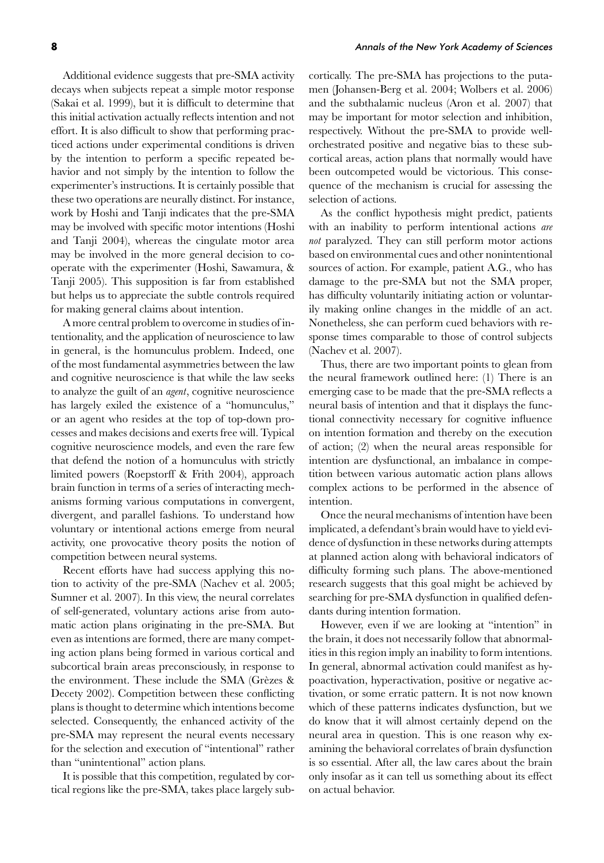Additional evidence suggests that pre-SMA activity decays when subjects repeat a simple motor response (Sakai et al. 1999), but it is difficult to determine that this initial activation actually reflects intention and not effort. It is also difficult to show that performing practiced actions under experimental conditions is driven by the intention to perform a specific repeated behavior and not simply by the intention to follow the experimenter's instructions. It is certainly possible that these two operations are neurally distinct. For instance, work by Hoshi and Tanji indicates that the pre-SMA may be involved with specific motor intentions (Hoshi and Tanji 2004), whereas the cingulate motor area may be involved in the more general decision to cooperate with the experimenter (Hoshi, Sawamura, & Tanji 2005). This supposition is far from established but helps us to appreciate the subtle controls required for making general claims about intention.

A more central problem to overcome in studies of intentionality, and the application of neuroscience to law in general, is the homunculus problem. Indeed, one of the most fundamental asymmetries between the law and cognitive neuroscience is that while the law seeks to analyze the guilt of an *agent*, cognitive neuroscience has largely exiled the existence of a "homunculus," or an agent who resides at the top of top-down processes and makes decisions and exerts free will. Typical cognitive neuroscience models, and even the rare few that defend the notion of a homunculus with strictly limited powers (Roepstorff & Frith 2004), approach brain function in terms of a series of interacting mechanisms forming various computations in convergent, divergent, and parallel fashions. To understand how voluntary or intentional actions emerge from neural activity, one provocative theory posits the notion of competition between neural systems.

Recent efforts have had success applying this notion to activity of the pre-SMA (Nachev et al. 2005; Sumner et al. 2007). In this view, the neural correlates of self-generated, voluntary actions arise from automatic action plans originating in the pre-SMA. But even as intentions are formed, there are many competing action plans being formed in various cortical and subcortical brain areas preconsciously, in response to the environment. These include the SMA (Grèzes  $\&$ Decety 2002). Competition between these conflicting plans is thought to determine which intentions become selected. Consequently, the enhanced activity of the pre-SMA may represent the neural events necessary for the selection and execution of "intentional" rather than "unintentional" action plans.

It is possible that this competition, regulated by cortical regions like the pre-SMA, takes place largely subcortically. The pre-SMA has projections to the putamen (Johansen-Berg et al. 2004; Wolbers et al. 2006) and the subthalamic nucleus (Aron et al. 2007) that may be important for motor selection and inhibition, respectively. Without the pre-SMA to provide wellorchestrated positive and negative bias to these subcortical areas, action plans that normally would have been outcompeted would be victorious. This consequence of the mechanism is crucial for assessing the selection of actions.

As the conflict hypothesis might predict, patients with an inability to perform intentional actions *are not* paralyzed. They can still perform motor actions based on environmental cues and other nonintentional sources of action. For example, patient A.G., who has damage to the pre-SMA but not the SMA proper, has difficulty voluntarily initiating action or voluntarily making online changes in the middle of an act. Nonetheless, she can perform cued behaviors with response times comparable to those of control subjects (Nachev et al. 2007).

Thus, there are two important points to glean from the neural framework outlined here: (1) There is an emerging case to be made that the pre-SMA reflects a neural basis of intention and that it displays the functional connectivity necessary for cognitive influence on intention formation and thereby on the execution of action; (2) when the neural areas responsible for intention are dysfunctional, an imbalance in competition between various automatic action plans allows complex actions to be performed in the absence of intention.

Once the neural mechanisms of intention have been implicated, a defendant's brain would have to yield evidence of dysfunction in these networks during attempts at planned action along with behavioral indicators of difficulty forming such plans. The above-mentioned research suggests that this goal might be achieved by searching for pre-SMA dysfunction in qualified defendants during intention formation.

However, even if we are looking at "intention" in the brain, it does not necessarily follow that abnormalities in this region imply an inability to form intentions. In general, abnormal activation could manifest as hypoactivation, hyperactivation, positive or negative activation, or some erratic pattern. It is not now known which of these patterns indicates dysfunction, but we do know that it will almost certainly depend on the neural area in question. This is one reason why examining the behavioral correlates of brain dysfunction is so essential. After all, the law cares about the brain only insofar as it can tell us something about its effect on actual behavior.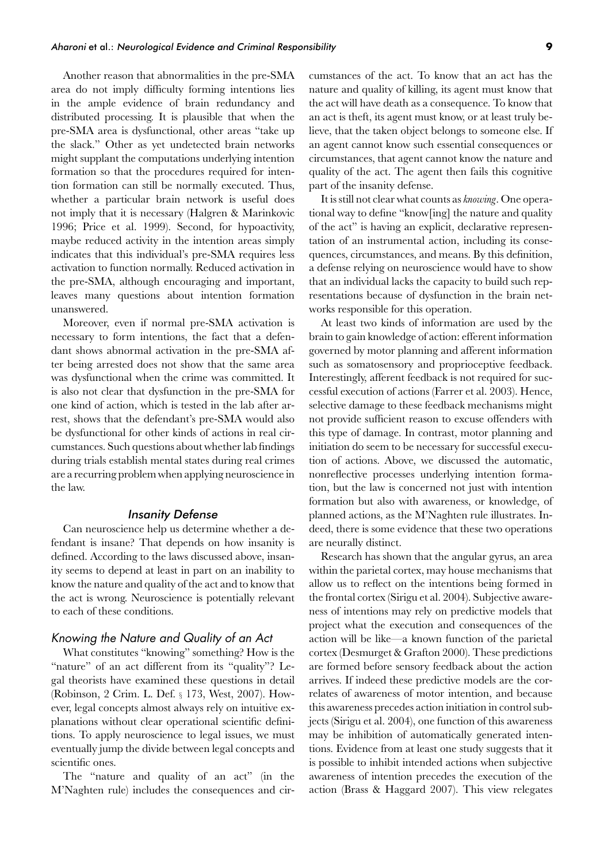Another reason that abnormalities in the pre-SMA area do not imply difficulty forming intentions lies in the ample evidence of brain redundancy and distributed processing. It is plausible that when the pre-SMA area is dysfunctional, other areas "take up the slack." Other as yet undetected brain networks might supplant the computations underlying intention formation so that the procedures required for intention formation can still be normally executed. Thus, whether a particular brain network is useful does not imply that it is necessary (Halgren & Marinkovic 1996; Price et al. 1999). Second, for hypoactivity, maybe reduced activity in the intention areas simply indicates that this individual's pre-SMA requires less activation to function normally. Reduced activation in the pre-SMA, although encouraging and important, leaves many questions about intention formation unanswered.

Moreover, even if normal pre-SMA activation is necessary to form intentions, the fact that a defendant shows abnormal activation in the pre-SMA after being arrested does not show that the same area was dysfunctional when the crime was committed. It is also not clear that dysfunction in the pre-SMA for one kind of action, which is tested in the lab after arrest, shows that the defendant's pre-SMA would also be dysfunctional for other kinds of actions in real circumstances. Such questions about whether lab findings during trials establish mental states during real crimes are a recurring problem when applying neuroscience in the law.

#### Insanity Defense

Can neuroscience help us determine whether a defendant is insane? That depends on how insanity is defined. According to the laws discussed above, insanity seems to depend at least in part on an inability to know the nature and quality of the act and to know that the act is wrong. Neuroscience is potentially relevant to each of these conditions.

### *Knowing the Nature and Quality of an Act*

What constitutes "knowing" something? How is the "nature" of an act different from its "quality"? Legal theorists have examined these questions in detail (Robinson, 2 Crim. L. Def. § 173, West, 2007). However, legal concepts almost always rely on intuitive explanations without clear operational scientific definitions. To apply neuroscience to legal issues, we must eventually jump the divide between legal concepts and scientific ones.

The "nature and quality of an act" (in the M'Naghten rule) includes the consequences and circumstances of the act. To know that an act has the nature and quality of killing, its agent must know that the act will have death as a consequence. To know that an act is theft, its agent must know, or at least truly believe, that the taken object belongs to someone else. If an agent cannot know such essential consequences or circumstances, that agent cannot know the nature and quality of the act. The agent then fails this cognitive part of the insanity defense.

It is still not clear what counts as*knowing*. One operational way to define "know[ing] the nature and quality of the act" is having an explicit, declarative representation of an instrumental action, including its consequences, circumstances, and means. By this definition, a defense relying on neuroscience would have to show that an individual lacks the capacity to build such representations because of dysfunction in the brain networks responsible for this operation.

At least two kinds of information are used by the brain to gain knowledge of action: efferent information governed by motor planning and afferent information such as somatosensory and proprioceptive feedback. Interestingly, afferent feedback is not required for successful execution of actions (Farrer et al. 2003). Hence, selective damage to these feedback mechanisms might not provide sufficient reason to excuse offenders with this type of damage. In contrast, motor planning and initiation do seem to be necessary for successful execution of actions. Above, we discussed the automatic, nonreflective processes underlying intention formation, but the law is concerned not just with intention formation but also with awareness, or knowledge, of planned actions, as the M'Naghten rule illustrates. Indeed, there is some evidence that these two operations are neurally distinct.

Research has shown that the angular gyrus, an area within the parietal cortex, may house mechanisms that allow us to reflect on the intentions being formed in the frontal cortex (Sirigu et al. 2004). Subjective awareness of intentions may rely on predictive models that project what the execution and consequences of the action will be like—a known function of the parietal cortex (Desmurget & Grafton 2000). These predictions are formed before sensory feedback about the action arrives. If indeed these predictive models are the correlates of awareness of motor intention, and because this awareness precedes action initiation in control subjects (Sirigu et al. 2004), one function of this awareness may be inhibition of automatically generated intentions. Evidence from at least one study suggests that it is possible to inhibit intended actions when subjective awareness of intention precedes the execution of the action (Brass & Haggard 2007). This view relegates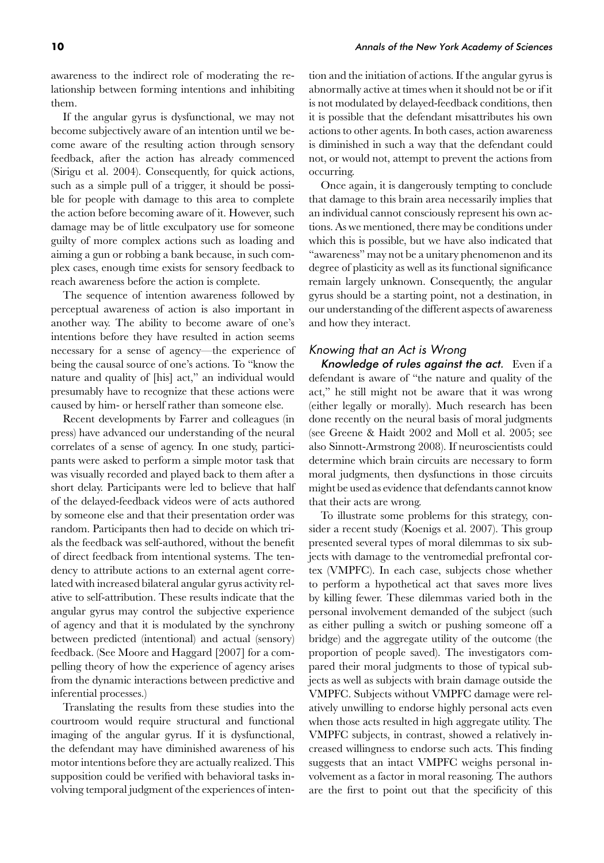awareness to the indirect role of moderating the relationship between forming intentions and inhibiting them.

If the angular gyrus is dysfunctional, we may not become subjectively aware of an intention until we become aware of the resulting action through sensory feedback, after the action has already commenced (Sirigu et al. 2004). Consequently, for quick actions, such as a simple pull of a trigger, it should be possible for people with damage to this area to complete the action before becoming aware of it. However, such damage may be of little exculpatory use for someone guilty of more complex actions such as loading and aiming a gun or robbing a bank because, in such complex cases, enough time exists for sensory feedback to reach awareness before the action is complete.

The sequence of intention awareness followed by perceptual awareness of action is also important in another way. The ability to become aware of one's intentions before they have resulted in action seems necessary for a sense of agency—the experience of being the causal source of one's actions. To "know the nature and quality of [his] act," an individual would presumably have to recognize that these actions were caused by him- or herself rather than someone else.

Recent developments by Farrer and colleagues (in press) have advanced our understanding of the neural correlates of a sense of agency. In one study, participants were asked to perform a simple motor task that was visually recorded and played back to them after a short delay. Participants were led to believe that half of the delayed-feedback videos were of acts authored by someone else and that their presentation order was random. Participants then had to decide on which trials the feedback was self-authored, without the benefit of direct feedback from intentional systems. The tendency to attribute actions to an external agent correlated with increased bilateral angular gyrus activity relative to self-attribution. These results indicate that the angular gyrus may control the subjective experience of agency and that it is modulated by the synchrony between predicted (intentional) and actual (sensory) feedback. (See Moore and Haggard [2007] for a compelling theory of how the experience of agency arises from the dynamic interactions between predictive and inferential processes.)

Translating the results from these studies into the courtroom would require structural and functional imaging of the angular gyrus. If it is dysfunctional, the defendant may have diminished awareness of his motor intentions before they are actually realized. This supposition could be verified with behavioral tasks involving temporal judgment of the experiences of intention and the initiation of actions. If the angular gyrus is abnormally active at times when it should not be or if it is not modulated by delayed-feedback conditions, then it is possible that the defendant misattributes his own actions to other agents. In both cases, action awareness is diminished in such a way that the defendant could not, or would not, attempt to prevent the actions from occurring.

Once again, it is dangerously tempting to conclude that damage to this brain area necessarily implies that an individual cannot consciously represent his own actions. As we mentioned, there may be conditions under which this is possible, but we have also indicated that "awareness" may not be a unitary phenomenon and its degree of plasticity as well as its functional significance remain largely unknown. Consequently, the angular gyrus should be a starting point, not a destination, in our understanding of the different aspects of awareness and how they interact.

### *Knowing that an Act is Wrong*

Knowledge of rules against the act. Even if a defendant is aware of "the nature and quality of the act," he still might not be aware that it was wrong (either legally or morally). Much research has been done recently on the neural basis of moral judgments (see Greene & Haidt 2002 and Moll et al. 2005; see also Sinnott-Armstrong 2008). If neuroscientists could determine which brain circuits are necessary to form moral judgments, then dysfunctions in those circuits might be used as evidence that defendants cannot know that their acts are wrong.

To illustrate some problems for this strategy, consider a recent study (Koenigs et al. 2007). This group presented several types of moral dilemmas to six subjects with damage to the ventromedial prefrontal cortex (VMPFC). In each case, subjects chose whether to perform a hypothetical act that saves more lives by killing fewer. These dilemmas varied both in the personal involvement demanded of the subject (such as either pulling a switch or pushing someone off a bridge) and the aggregate utility of the outcome (the proportion of people saved). The investigators compared their moral judgments to those of typical subjects as well as subjects with brain damage outside the VMPFC. Subjects without VMPFC damage were relatively unwilling to endorse highly personal acts even when those acts resulted in high aggregate utility. The VMPFC subjects, in contrast, showed a relatively increased willingness to endorse such acts. This finding suggests that an intact VMPFC weighs personal involvement as a factor in moral reasoning. The authors are the first to point out that the specificity of this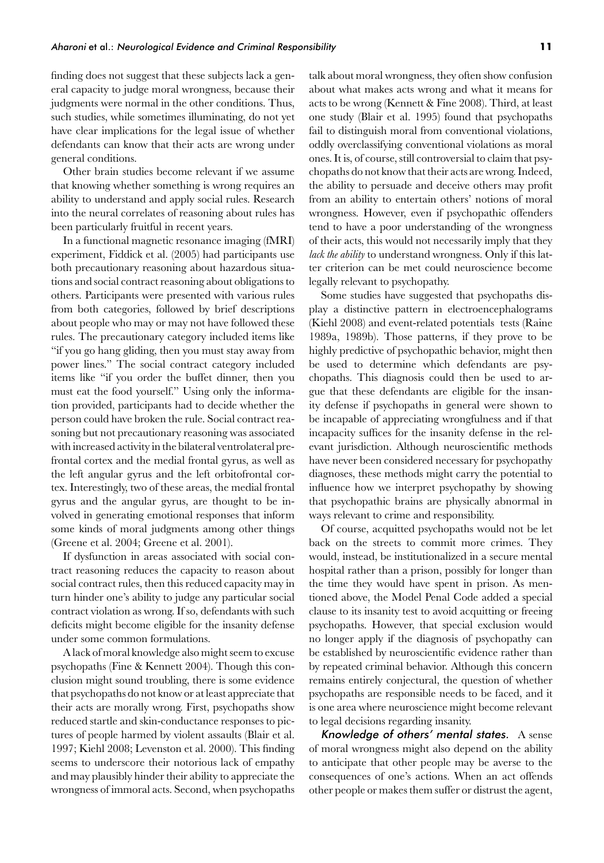finding does not suggest that these subjects lack a general capacity to judge moral wrongness, because their judgments were normal in the other conditions. Thus, such studies, while sometimes illuminating, do not yet have clear implications for the legal issue of whether defendants can know that their acts are wrong under general conditions.

Other brain studies become relevant if we assume that knowing whether something is wrong requires an ability to understand and apply social rules. Research into the neural correlates of reasoning about rules has been particularly fruitful in recent years.

In a functional magnetic resonance imaging (fMRI) experiment, Fiddick et al. (2005) had participants use both precautionary reasoning about hazardous situations and social contract reasoning about obligations to others. Participants were presented with various rules from both categories, followed by brief descriptions about people who may or may not have followed these rules. The precautionary category included items like "if you go hang gliding, then you must stay away from power lines." The social contract category included items like "if you order the buffet dinner, then you must eat the food yourself." Using only the information provided, participants had to decide whether the person could have broken the rule. Social contract reasoning but not precautionary reasoning was associated with increased activity in the bilateral ventrolateral prefrontal cortex and the medial frontal gyrus, as well as the left angular gyrus and the left orbitofrontal cortex. Interestingly, two of these areas, the medial frontal gyrus and the angular gyrus, are thought to be involved in generating emotional responses that inform some kinds of moral judgments among other things (Greene et al. 2004; Greene et al. 2001).

If dysfunction in areas associated with social contract reasoning reduces the capacity to reason about social contract rules, then this reduced capacity may in turn hinder one's ability to judge any particular social contract violation as wrong. If so, defendants with such deficits might become eligible for the insanity defense under some common formulations.

A lack of moral knowledge also might seem to excuse psychopaths (Fine & Kennett 2004). Though this conclusion might sound troubling, there is some evidence that psychopaths do not know or at least appreciate that their acts are morally wrong. First, psychopaths show reduced startle and skin-conductance responses to pictures of people harmed by violent assaults (Blair et al. 1997; Kiehl 2008; Levenston et al. 2000). This finding seems to underscore their notorious lack of empathy and may plausibly hinder their ability to appreciate the wrongness of immoral acts. Second, when psychopaths talk about moral wrongness, they often show confusion about what makes acts wrong and what it means for acts to be wrong (Kennett & Fine 2008). Third, at least one study (Blair et al. 1995) found that psychopaths fail to distinguish moral from conventional violations, oddly overclassifying conventional violations as moral ones. It is, of course, still controversial to claim that psychopaths do not know that their acts are wrong. Indeed, the ability to persuade and deceive others may profit from an ability to entertain others' notions of moral wrongness. However, even if psychopathic offenders tend to have a poor understanding of the wrongness of their acts, this would not necessarily imply that they *lack the ability* to understand wrongness. Only if this latter criterion can be met could neuroscience become legally relevant to psychopathy.

Some studies have suggested that psychopaths display a distinctive pattern in electroencephalograms (Kiehl 2008) and event-related potentials tests (Raine 1989a, 1989b). Those patterns, if they prove to be highly predictive of psychopathic behavior, might then be used to determine which defendants are psychopaths. This diagnosis could then be used to argue that these defendants are eligible for the insanity defense if psychopaths in general were shown to be incapable of appreciating wrongfulness and if that incapacity suffices for the insanity defense in the relevant jurisdiction. Although neuroscientific methods have never been considered necessary for psychopathy diagnoses, these methods might carry the potential to influence how we interpret psychopathy by showing that psychopathic brains are physically abnormal in ways relevant to crime and responsibility.

Of course, acquitted psychopaths would not be let back on the streets to commit more crimes. They would, instead, be institutionalized in a secure mental hospital rather than a prison, possibly for longer than the time they would have spent in prison. As mentioned above, the Model Penal Code added a special clause to its insanity test to avoid acquitting or freeing psychopaths. However, that special exclusion would no longer apply if the diagnosis of psychopathy can be established by neuroscientific evidence rather than by repeated criminal behavior. Although this concern remains entirely conjectural, the question of whether psychopaths are responsible needs to be faced, and it is one area where neuroscience might become relevant to legal decisions regarding insanity.

Knowledge of others' mental states. A sense of moral wrongness might also depend on the ability to anticipate that other people may be averse to the consequences of one's actions. When an act offends other people or makes them suffer or distrust the agent,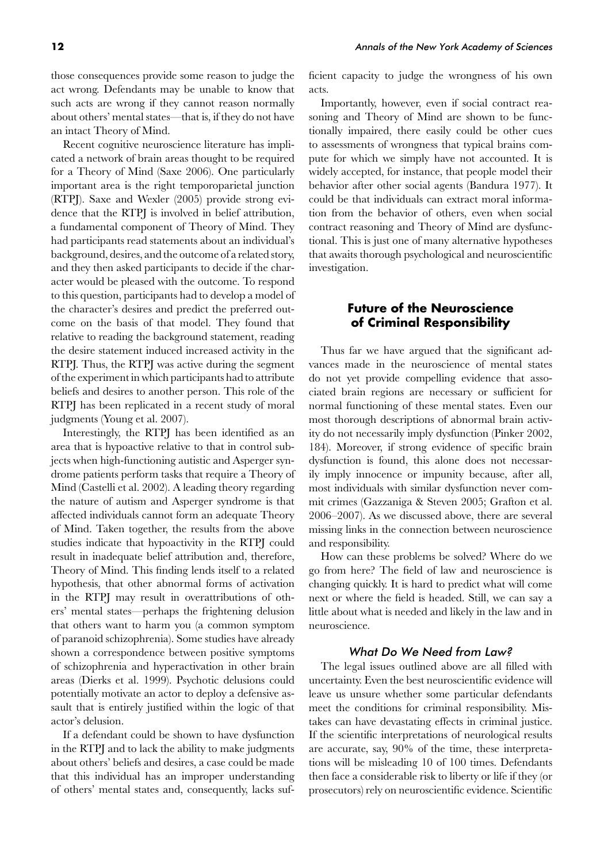those consequences provide some reason to judge the act wrong. Defendants may be unable to know that such acts are wrong if they cannot reason normally about others' mental states—that is, if they do not have an intact Theory of Mind.

Recent cognitive neuroscience literature has implicated a network of brain areas thought to be required for a Theory of Mind (Saxe 2006). One particularly important area is the right temporoparietal junction (RTPJ). Saxe and Wexler (2005) provide strong evidence that the RTPJ is involved in belief attribution, a fundamental component of Theory of Mind. They had participants read statements about an individual's background, desires, and the outcome of a related story, and they then asked participants to decide if the character would be pleased with the outcome. To respond to this question, participants had to develop a model of the character's desires and predict the preferred outcome on the basis of that model. They found that relative to reading the background statement, reading the desire statement induced increased activity in the RTPJ. Thus, the RTPJ was active during the segment of the experiment in which participants had to attribute beliefs and desires to another person. This role of the RTPJ has been replicated in a recent study of moral judgments (Young et al. 2007).

Interestingly, the RTPJ has been identified as an area that is hypoactive relative to that in control subjects when high-functioning autistic and Asperger syndrome patients perform tasks that require a Theory of Mind (Castelli et al. 2002). A leading theory regarding the nature of autism and Asperger syndrome is that affected individuals cannot form an adequate Theory of Mind. Taken together, the results from the above studies indicate that hypoactivity in the RTPJ could result in inadequate belief attribution and, therefore, Theory of Mind. This finding lends itself to a related hypothesis, that other abnormal forms of activation in the RTPJ may result in overattributions of others' mental states—perhaps the frightening delusion that others want to harm you (a common symptom of paranoid schizophrenia). Some studies have already shown a correspondence between positive symptoms of schizophrenia and hyperactivation in other brain areas (Dierks et al. 1999). Psychotic delusions could potentially motivate an actor to deploy a defensive assault that is entirely justified within the logic of that actor's delusion.

If a defendant could be shown to have dysfunction in the RTPJ and to lack the ability to make judgments about others' beliefs and desires, a case could be made that this individual has an improper understanding of others' mental states and, consequently, lacks sufficient capacity to judge the wrongness of his own acts.

Importantly, however, even if social contract reasoning and Theory of Mind are shown to be functionally impaired, there easily could be other cues to assessments of wrongness that typical brains compute for which we simply have not accounted. It is widely accepted, for instance, that people model their behavior after other social agents (Bandura 1977). It could be that individuals can extract moral information from the behavior of others, even when social contract reasoning and Theory of Mind are dysfunctional. This is just one of many alternative hypotheses that awaits thorough psychological and neuroscientific investigation.

# **Future of the Neuroscience of Criminal Responsibility**

Thus far we have argued that the significant advances made in the neuroscience of mental states do not yet provide compelling evidence that associated brain regions are necessary or sufficient for normal functioning of these mental states. Even our most thorough descriptions of abnormal brain activity do not necessarily imply dysfunction (Pinker 2002, 184). Moreover, if strong evidence of specific brain dysfunction is found, this alone does not necessarily imply innocence or impunity because, after all, most individuals with similar dysfunction never commit crimes (Gazzaniga & Steven 2005; Grafton et al. 2006–2007). As we discussed above, there are several missing links in the connection between neuroscience and responsibility.

How can these problems be solved? Where do we go from here? The field of law and neuroscience is changing quickly. It is hard to predict what will come next or where the field is headed. Still, we can say a little about what is needed and likely in the law and in neuroscience.

### What Do We Need from Law?

The legal issues outlined above are all filled with uncertainty. Even the best neuroscientific evidence will leave us unsure whether some particular defendants meet the conditions for criminal responsibility. Mistakes can have devastating effects in criminal justice. If the scientific interpretations of neurological results are accurate, say, 90% of the time, these interpretations will be misleading 10 of 100 times. Defendants then face a considerable risk to liberty or life if they (or prosecutors) rely on neuroscientific evidence. Scientific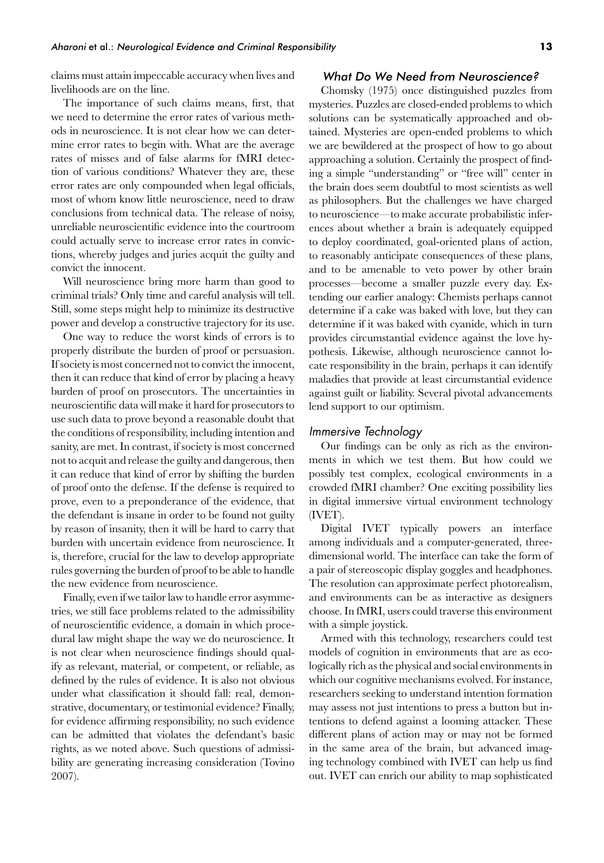claims must attain impeccable accuracy when lives and livelihoods are on the line.

The importance of such claims means, first, that we need to determine the error rates of various methods in neuroscience. It is not clear how we can determine error rates to begin with. What are the average rates of misses and of false alarms for fMRI detection of various conditions? Whatever they are, these error rates are only compounded when legal officials, most of whom know little neuroscience, need to draw conclusions from technical data. The release of noisy, unreliable neuroscientific evidence into the courtroom could actually serve to increase error rates in convictions, whereby judges and juries acquit the guilty and convict the innocent.

Will neuroscience bring more harm than good to criminal trials? Only time and careful analysis will tell. Still, some steps might help to minimize its destructive power and develop a constructive trajectory for its use.

One way to reduce the worst kinds of errors is to properly distribute the burden of proof or persuasion. If society is most concerned not to convict the innocent, then it can reduce that kind of error by placing a heavy burden of proof on prosecutors. The uncertainties in neuroscientific data will make it hard for prosecutors to use such data to prove beyond a reasonable doubt that the conditions of responsibility, including intention and sanity, are met. In contrast, if society is most concerned not to acquit and release the guilty and dangerous, then it can reduce that kind of error by shifting the burden of proof onto the defense. If the defense is required to prove, even to a preponderance of the evidence, that the defendant is insane in order to be found not guilty by reason of insanity, then it will be hard to carry that burden with uncertain evidence from neuroscience. It is, therefore, crucial for the law to develop appropriate rules governing the burden of proof to be able to handle the new evidence from neuroscience.

Finally, even if we tailor law to handle error asymmetries, we still face problems related to the admissibility of neuroscientific evidence, a domain in which procedural law might shape the way we do neuroscience. It is not clear when neuroscience findings should qualify as relevant, material, or competent, or reliable, as defined by the rules of evidence. It is also not obvious under what classification it should fall: real, demonstrative, documentary, or testimonial evidence? Finally, for evidence affirming responsibility, no such evidence can be admitted that violates the defendant's basic rights, as we noted above. Such questions of admissibility are generating increasing consideration (Tovino 2007).

### What Do We Need from Neuroscience?

Chomsky (1975) once distinguished puzzles from mysteries. Puzzles are closed-ended problems to which solutions can be systematically approached and obtained. Mysteries are open-ended problems to which we are bewildered at the prospect of how to go about approaching a solution. Certainly the prospect of finding a simple "understanding" or "free will" center in the brain does seem doubtful to most scientists as well as philosophers. But the challenges we have charged to neuroscience—to make accurate probabilistic inferences about whether a brain is adequately equipped to deploy coordinated, goal-oriented plans of action, to reasonably anticipate consequences of these plans, and to be amenable to veto power by other brain processes—become a smaller puzzle every day. Extending our earlier analogy: Chemists perhaps cannot determine if a cake was baked with love, but they can determine if it was baked with cyanide, which in turn provides circumstantial evidence against the love hypothesis. Likewise, although neuroscience cannot locate responsibility in the brain, perhaps it can identify maladies that provide at least circumstantial evidence against guilt or liability. Several pivotal advancements lend support to our optimism.

### *Immersive Technology*

Our findings can be only as rich as the environments in which we test them. But how could we possibly test complex, ecological environments in a crowded fMRI chamber? One exciting possibility lies in digital immersive virtual environment technology (IVET).

Digital IVET typically powers an interface among individuals and a computer-generated, threedimensional world. The interface can take the form of a pair of stereoscopic display goggles and headphones. The resolution can approximate perfect photorealism, and environments can be as interactive as designers choose. In fMRI, users could traverse this environment with a simple joystick.

Armed with this technology, researchers could test models of cognition in environments that are as ecologically rich as the physical and social environments in which our cognitive mechanisms evolved. For instance, researchers seeking to understand intention formation may assess not just intentions to press a button but intentions to defend against a looming attacker. These different plans of action may or may not be formed in the same area of the brain, but advanced imaging technology combined with IVET can help us find out. IVET can enrich our ability to map sophisticated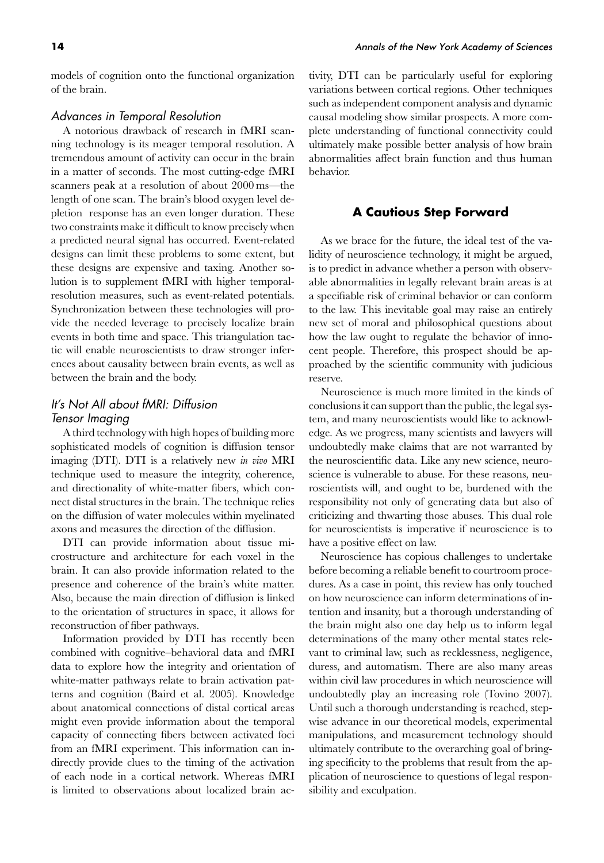models of cognition onto the functional organization of the brain.

### *Advances in Temporal Resolution*

A notorious drawback of research in fMRI scanning technology is its meager temporal resolution. A tremendous amount of activity can occur in the brain in a matter of seconds. The most cutting-edge fMRI scanners peak at a resolution of about 2000 ms—the length of one scan. The brain's blood oxygen level depletion response has an even longer duration. These two constraints make it difficult to know precisely when a predicted neural signal has occurred. Event-related designs can limit these problems to some extent, but these designs are expensive and taxing. Another solution is to supplement fMRI with higher temporalresolution measures, such as event-related potentials. Synchronization between these technologies will provide the needed leverage to precisely localize brain events in both time and space. This triangulation tactic will enable neuroscientists to draw stronger inferences about causality between brain events, as well as between the brain and the body.

# *It's Not All about fMRI: Diffusion Tensor Imaging*

A third technology with high hopes of building more sophisticated models of cognition is diffusion tensor imaging (DTI). DTI is a relatively new *in vivo* MRI technique used to measure the integrity, coherence, and directionality of white-matter fibers, which connect distal structures in the brain. The technique relies on the diffusion of water molecules within myelinated axons and measures the direction of the diffusion.

DTI can provide information about tissue microstructure and architecture for each voxel in the brain. It can also provide information related to the presence and coherence of the brain's white matter. Also, because the main direction of diffusion is linked to the orientation of structures in space, it allows for reconstruction of fiber pathways.

Information provided by DTI has recently been combined with cognitive–behavioral data and fMRI data to explore how the integrity and orientation of white-matter pathways relate to brain activation patterns and cognition (Baird et al. 2005). Knowledge about anatomical connections of distal cortical areas might even provide information about the temporal capacity of connecting fibers between activated foci from an fMRI experiment. This information can indirectly provide clues to the timing of the activation of each node in a cortical network. Whereas fMRI is limited to observations about localized brain activity, DTI can be particularly useful for exploring variations between cortical regions. Other techniques such as independent component analysis and dynamic causal modeling show similar prospects. A more complete understanding of functional connectivity could ultimately make possible better analysis of how brain abnormalities affect brain function and thus human behavior.

### **A Cautious Step Forward**

As we brace for the future, the ideal test of the validity of neuroscience technology, it might be argued, is to predict in advance whether a person with observable abnormalities in legally relevant brain areas is at a specifiable risk of criminal behavior or can conform to the law. This inevitable goal may raise an entirely new set of moral and philosophical questions about how the law ought to regulate the behavior of innocent people. Therefore, this prospect should be approached by the scientific community with judicious reserve.

Neuroscience is much more limited in the kinds of conclusions it can support than the public, the legal system, and many neuroscientists would like to acknowledge. As we progress, many scientists and lawyers will undoubtedly make claims that are not warranted by the neuroscientific data. Like any new science, neuroscience is vulnerable to abuse. For these reasons, neuroscientists will, and ought to be, burdened with the responsibility not only of generating data but also of criticizing and thwarting those abuses. This dual role for neuroscientists is imperative if neuroscience is to have a positive effect on law.

Neuroscience has copious challenges to undertake before becoming a reliable benefit to courtroom procedures. As a case in point, this review has only touched on how neuroscience can inform determinations of intention and insanity, but a thorough understanding of the brain might also one day help us to inform legal determinations of the many other mental states relevant to criminal law, such as recklessness, negligence, duress, and automatism. There are also many areas within civil law procedures in which neuroscience will undoubtedly play an increasing role (Tovino 2007). Until such a thorough understanding is reached, stepwise advance in our theoretical models, experimental manipulations, and measurement technology should ultimately contribute to the overarching goal of bringing specificity to the problems that result from the application of neuroscience to questions of legal responsibility and exculpation.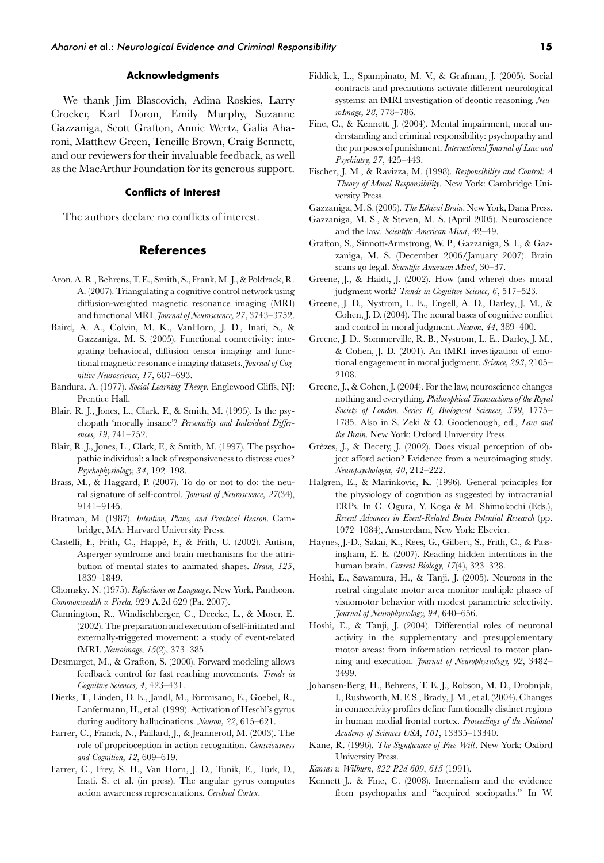#### **Acknowledgments**

We thank Jim Blascovich, Adina Roskies, Larry Crocker, Karl Doron, Emily Murphy, Suzanne Gazzaniga, Scott Grafton, Annie Wertz, Galia Aharoni, Matthew Green, Teneille Brown, Craig Bennett, and our reviewers for their invaluable feedback, as well as the MacArthur Foundation for its generous support.

### **Conflicts of Interest**

The authors declare no conflicts of interest.

# **References**

- Aron, A. R., Behrens, T. E., Smith, S., Frank, M. J., & Poldrack, R. A. (2007). Triangulating a cognitive control network using diffusion-weighted magnetic resonance imaging (MRI) and functional MRI. *Journal of Neuroscience, 27*, 3743–3752.
- Baird, A. A., Colvin, M. K., VanHorn, J. D., Inati, S., & Gazzaniga, M. S. (2005). Functional connectivity: integrating behavioral, diffusion tensor imaging and functional magnetic resonance imaging datasets. *Journal of Cognitive Neuroscience, 17*, 687–693.
- Bandura, A. (1977). *Social Learning Theory*. Englewood Cliffs, NJ: Prentice Hall.
- Blair, R. J., Jones, L., Clark, F., & Smith, M. (1995). Is the psychopath 'morally insane'? *Personality and Individual Differences, 19*, 741–752.
- Blair, R. J., Jones, L., Clark, F., & Smith, M. (1997). The psychopathic individual: a lack of responsiveness to distress cues? *Psychophysiology, 34*, 192–198.
- Brass, M., & Haggard, P. (2007). To do or not to do: the neural signature of self-control. *Journal of Neuroscience*, *27*(34), 9141–9145.
- Bratman, M. (1987). *Intention, Plans, and Practical Reason*. Cambridge, MA: Harvard University Press.
- Castelli, F., Frith, C., Happé, F., & Frith, U. (2002). Autism, Asperger syndrome and brain mechanisms for the attribution of mental states to animated shapes. *Brain, 125*, 1839–1849.
- Chomsky, N. (1975). *Reflections on Language*. New York, Pantheon.
- *Commonwealth v. Pirela,* 929 A.2d 629 (Pa. 2007).
- Cunnington, R., Windischberger, C., Deecke, L., & Moser, E. (2002). The preparation and execution of self-initiated and externally-triggered movement: a study of event-related fMRI. *Neuroimage, 15*(2), 373–385.
- Desmurget, M., & Grafton, S. (2000). Forward modeling allows feedback control for fast reaching movements. *Trends in Cognitive Sciences, 4*, 423–431.
- Dierks, T., Linden, D. E., Jandl, M., Formisano, E., Goebel, R., Lanfermann, H., et al. (1999). Activation of Heschl's gyrus during auditory hallucinations. *Neuron, 22*, 615–621.
- Farrer, C., Franck, N., Paillard, J., & Jeannerod, M. (2003). The role of proprioception in action recognition. *Consciousness and Cognition, 12*, 609–619.
- Farrer, C., Frey, S. H., Van Horn, J. D., Tunik, E., Turk, D., Inati, S. et al. (in press). The angular gyrus computes action awareness representations. *Cerebral Cortex*.
- Fiddick, L., Spampinato, M. V., & Grafman, J. (2005). Social contracts and precautions activate different neurological systems: an fMRI investigation of deontic reasoning. *NeuroImage, 28*, 778–786.
- Fine, C., & Kennett, J. (2004). Mental impairment, moral understanding and criminal responsibility: psychopathy and the purposes of punishment. *International Journal of Law and Psychiatry, 27*, 425–443.
- Fischer, J. M., & Ravizza, M. (1998). *Responsibility and Control: A Theory of Moral Responsibility*. New York: Cambridge University Press.
- Gazzaniga, M. S. (2005). *The Ethical Brain*. New York, Dana Press.
- Gazzaniga, M. S., & Steven, M. S. (April 2005). Neuroscience and the law. *Scientific American Mind*, 42–49.
- Grafton, S., Sinnott-Armstrong, W. P., Gazzaniga, S. I., & Gazzaniga, M. S. (December 2006/January 2007). Brain scans go legal. *Scientific American Mind*, 30–37.
- Greene, J., & Haidt, J. (2002). How (and where) does moral judgment work? *Trends in Cognitive Science, 6*, 517–523.
- Greene, J. D., Nystrom, L. E., Engell, A. D., Darley, J. M., & Cohen, J. D. (2004). The neural bases of cognitive conflict and control in moral judgment. *Neuron, 44*, 389–400.
- Greene, J. D., Sommerville, R. B., Nystrom, L. E., Darley, J. M., & Cohen, J. D. (2001). An fMRI investigation of emotional engagement in moral judgment. *Science, 293*, 2105– 2108.
- Greene, J., & Cohen, J. (2004). For the law, neuroscience changes nothing and everything. *Philosophical Transactions of the Royal Society of London. Series B, Biological Sciences, 359*, 1775– 1785. Also in S. Zeki & O. Goodenough, ed., *Law and the Brain*. New York: Oxford University Press.
- Grèzes, J., & Decety, J. (2002). Does visual perception of object afford action? Evidence from a neuroimaging study. *Neuropsychologia, 40*, 212–222.
- Halgren, E., & Marinkovic, K. (1996). General principles for the physiology of cognition as suggested by intracranial ERPs. In C. Ogura, Y. Koga & M. Shimokochi (Eds.), *Recent Advances in Event-Related Brain Potential Research* (pp. 1072–1084), Amsterdam, New York: Elsevier.
- Haynes, J.-D., Sakai, K., Rees, G., Gilbert, S., Frith, C., & Passingham, E. E. (2007). Reading hidden intentions in the human brain. *Current Biology, 17*(4), 323–328.
- Hoshi, E., Sawamura, H., & Tanji, J. (2005). Neurons in the rostral cingulate motor area monitor multiple phases of visuomotor behavior with modest parametric selectivity. *Journal of Neurophysiology, 94*, 640–656.
- Hoshi, E., & Tanji, J. (2004). Differential roles of neuronal activity in the supplementary and presupplementary motor areas: from information retrieval to motor planning and execution. *Journal of Neurophysiology, 92*, 3482– 3499.
- Johansen-Berg, H., Behrens, T. E. J., Robson, M. D., Drobnjak, I., Rushworth, M. F. S., Brady, J. M., et al. (2004). Changes in connectivity profiles define functionally distinct regions in human medial frontal cortex. *Proceedings of the National Academy of Sciences USA*, *101*, 13335–13340.
- Kane, R. (1996). *The Significance of Free Will*. New York: Oxford University Press.
- *Kansas v. Wilburn*, *822 P.2d 609, 615* (1991).
- Kennett J., & Fine, C. (2008). Internalism and the evidence from psychopaths and "acquired sociopaths." In W.